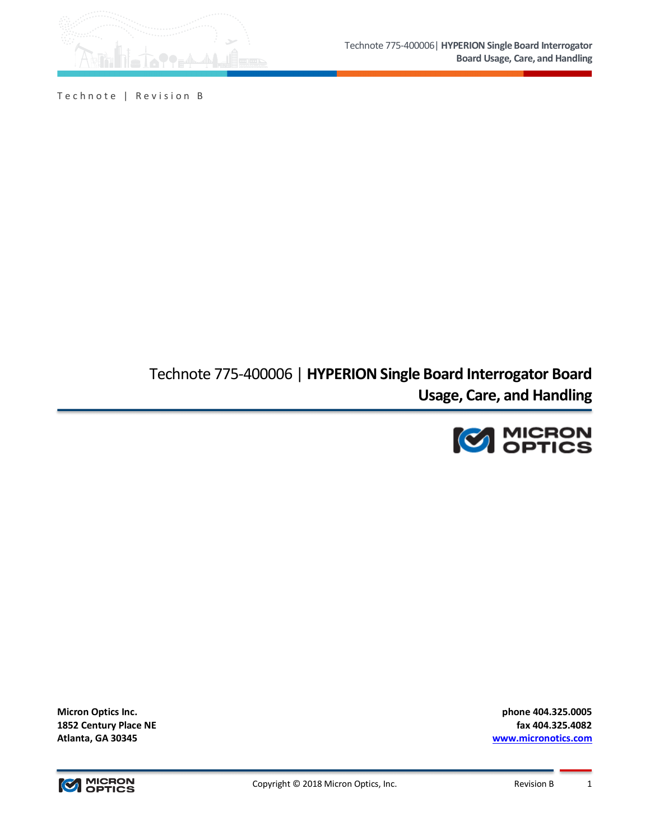

Technote | Revision B

Technote 775-400006 | **HYPERION Single Board Interrogator Board Usage, Care, and Handling**



**Micron Optics Inc. phone 404.325.0005**

**1852 Century Place NE fax 404.325.4082 Atlanta, GA 30345 www.micronotics.com**

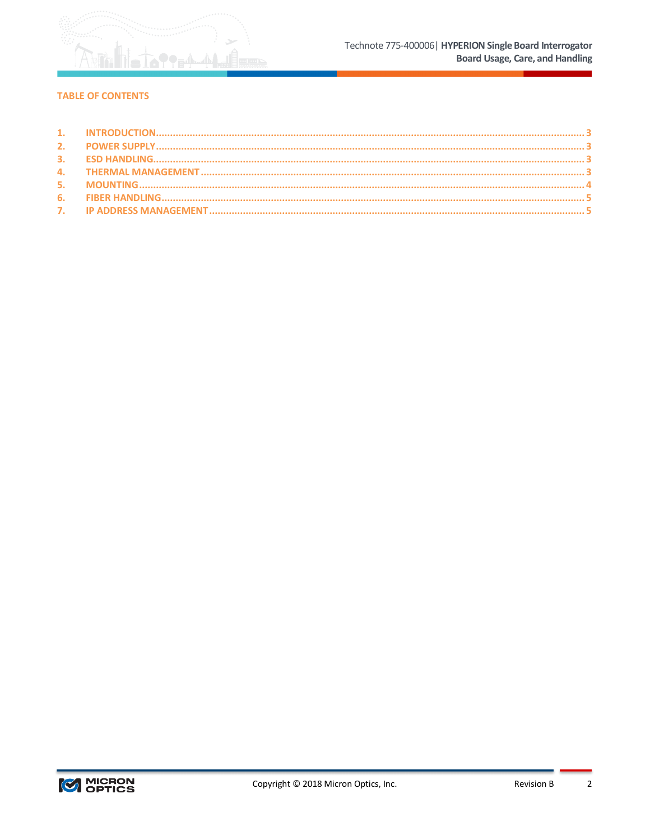

# **TABLE OF CONTENTS**

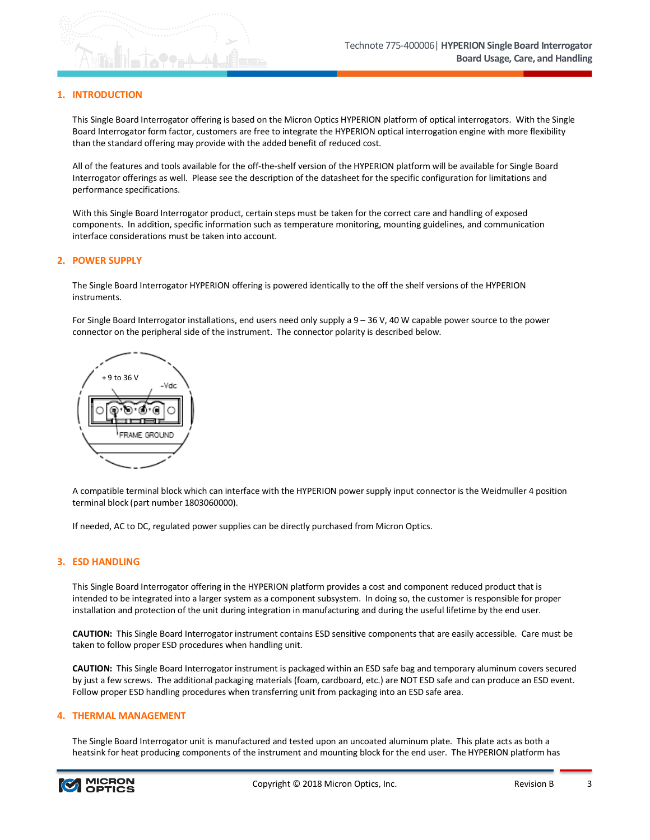## **1. INTRODUCTION**

This Single Board Interrogator offering is based on the Micron Optics HYPERION platform of optical interrogators. With the Single Board Interrogator form factor, customers are free to integrate the HYPERION optical interrogation engine with more flexibility than the standard offering may provide with the added benefit of reduced cost.

All of the features and tools available for the off-the-shelf version of the HYPERION platform will be available for Single Board Interrogator offerings as well. Please see the description of the datasheet for the specific configuration for limitations and performance specifications.

With this Single Board Interrogator product, certain steps must be taken for the correct care and handling of exposed components. In addition, specific information such as temperature monitoring, mounting guidelines, and communication interface considerations must be taken into account.

### **2. POWER SUPPLY**

The Single Board Interrogator HYPERION offering is powered identically to the off the shelf versions of the HYPERION instruments.

For Single Board Interrogator installations, end users need only supply a 9 – 36 V, 40 W capable power source to the power connector on the peripheral side of the instrument. The connector polarity is described below.



A compatible terminal block which can interface with the HYPERION power supply input connector is the Weidmuller 4 position terminal block (part number 1803060000).

If needed, AC to DC, regulated power supplies can be directly purchased from Micron Optics.

## **3. ESD HANDLING**

This Single Board Interrogator offering in the HYPERION platform provides a cost and component reduced product that is intended to be integrated into a larger system as a component subsystem. In doing so, the customer is responsible for proper installation and protection of the unit during integration in manufacturing and during the useful lifetime by the end user.

**CAUTION:** This Single Board Interrogator instrument contains ESD sensitive components that are easily accessible. Care must be taken to follow proper ESD procedures when handling unit.

**CAUTION:** This Single Board Interrogator instrument is packaged within an ESD safe bag and temporary aluminum covers secured by just a few screws. The additional packaging materials (foam, cardboard, etc.) are NOT ESD safe and can produce an ESD event. Follow proper ESD handling procedures when transferring unit from packaging into an ESD safe area.

### **4. THERMAL MANAGEMENT**

The Single Board Interrogator unit is manufactured and tested upon an uncoated aluminum plate. This plate acts as both a heatsink for heat producing components of the instrument and mounting block for the end user. The HYPERION platform has

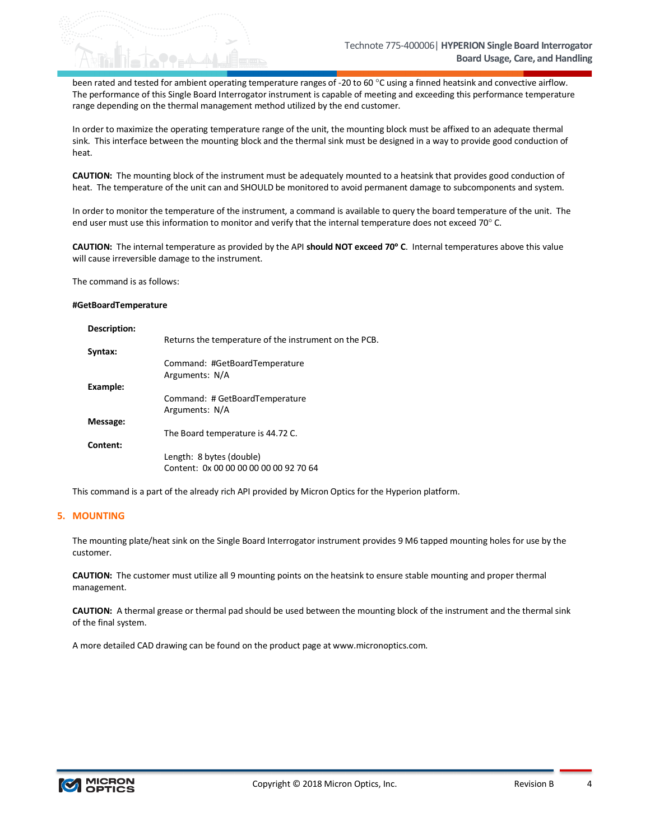been rated and tested for ambient operating temperature ranges of -20 to 60 °C using a finned heatsink and convective airflow. The performance of this Single Board Interrogator instrument is capable of meeting and exceeding this performance temperature range depending on the thermal management method utilized by the end customer.

In order to maximize the operating temperature range of the unit, the mounting block must be affixed to an adequate thermal sink. This interface between the mounting block and the thermal sink must be designed in a way to provide good conduction of heat.

**CAUTION:** The mounting block of the instrument must be adequately mounted to a heatsink that provides good conduction of heat. The temperature of the unit can and SHOULD be monitored to avoid permanent damage to subcomponents and system.

In order to monitor the temperature of the instrument, a command is available to query the board temperature of the unit. The end user must use this information to monitor and verify that the internal temperature does not exceed 70° C.

**CAUTION:** The internal temperature as provided by the API **should NOT exceed 70**° **C**. Internal temperatures above this value will cause irreversible damage to the instrument.

The command is as follows:

#### **#GetBoardTemperature**

| Description: |                                                       |
|--------------|-------------------------------------------------------|
|              | Returns the temperature of the instrument on the PCB. |
| Syntax:      |                                                       |
|              | Command: #GetBoardTemperature                         |
|              | Arguments: N/A                                        |
| Example:     |                                                       |
|              | Command: # GetBoardTemperature                        |
|              | Arguments: N/A                                        |
| Message:     |                                                       |
|              | The Board temperature is 44.72 C.                     |
| Content:     |                                                       |
|              | Length: 8 bytes (double)                              |
|              | Content: 0x 00 00 00 00 00 00 92 70 64                |

This command is a part of the already rich API provided by Micron Optics for the Hyperion platform.

## **5. MOUNTING**

The mounting plate/heat sink on the Single Board Interrogator instrument provides 9 M6 tapped mounting holes for use by the customer.

**CAUTION:** The customer must utilize all 9 mounting points on the heatsink to ensure stable mounting and proper thermal management.

**CAUTION:** A thermal grease or thermal pad should be used between the mounting block of the instrument and the thermal sink of the final system.

A more detailed CAD drawing can be found on the product page at www.micronoptics.com.

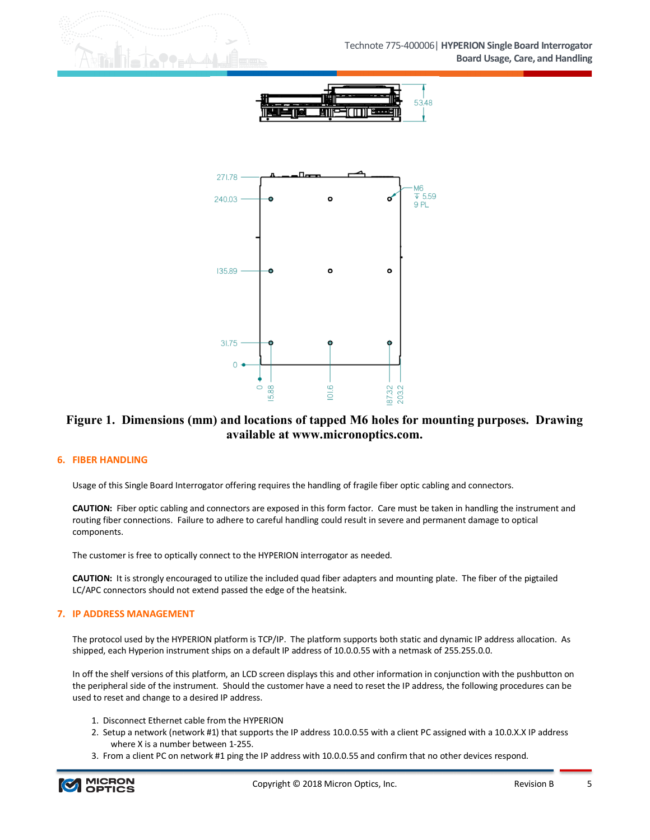



# **Figure 1. Dimensions (mm) and locations of tapped M6 holes for mounting purposes. Drawing available at www.micronoptics.com.**

## **6. FIBER HANDLING**

Usage of this Single Board Interrogator offering requires the handling of fragile fiber optic cabling and connectors.

**CAUTION:** Fiber optic cabling and connectors are exposed in this form factor. Care must be taken in handling the instrument and routing fiber connections. Failure to adhere to careful handling could result in severe and permanent damage to optical components.

The customer is free to optically connect to the HYPERION interrogator as needed.

**CAUTION:** It is strongly encouraged to utilize the included quad fiber adapters and mounting plate. The fiber of the pigtailed LC/APC connectors should not extend passed the edge of the heatsink.

## **7. IP ADDRESS MANAGEMENT**

The protocol used by the HYPERION platform is TCP/IP. The platform supports both static and dynamic IP address allocation. As shipped, each Hyperion instrument ships on a default IP address of 10.0.0.55 with a netmask of 255.255.0.0.

In off the shelf versions of this platform, an LCD screen displays this and other information in conjunction with the pushbutton on the peripheral side of the instrument. Should the customer have a need to reset the IP address, the following procedures can be used to reset and change to a desired IP address.

- 1. Disconnect Ethernet cable from the HYPERION
- 2. Setup a network (network #1) that supports the IP address 10.0.0.55 with a client PC assigned with a 10.0.X.X IP address where X is a number between 1-255.
- 3. From a client PC on network #1 ping the IP address with 10.0.0.55 and confirm that no other devices respond.